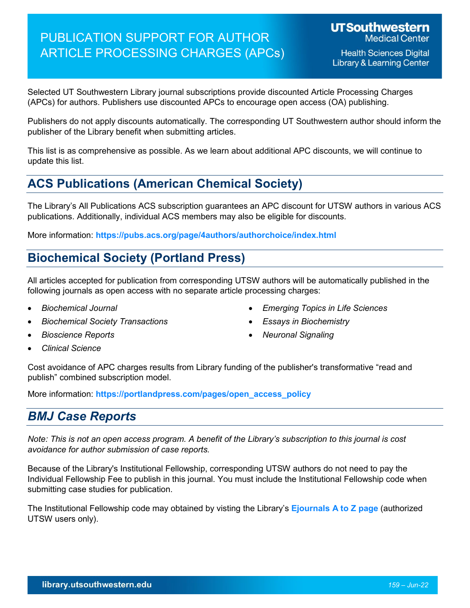# PUBLICATION SUPPORT FOR AUTHOR ARTICLE PROCESSING CHARGES (APCs)

Selected UT Southwestern Library journal subscriptions provide discounted Article Processing Charges (APCs) for authors. Publishers use discounted APCs to encourage open access (OA) publishing.

Publishers do not apply discounts automatically. The corresponding UT Southwestern author should inform the publisher of the Library benefit when submitting articles.

This list is as comprehensive as possible. As we learn about additional APC discounts, we will continue to update this list.

## **ACS Publications (American Chemical Society)**

The Library's All Publications ACS subscription guarantees an APC discount for UTSW authors in various ACS publications. Additionally, individual ACS members may also be eligible for discounts.

More information: **<https://pubs.acs.org/page/4authors/authorchoice/index.html>**

## **Biochemical Society (Portland Press)**

All articles accepted for publication from corresponding UTSW authors will be automatically published in the following journals as open access with no separate article processing charges:

- *Biochemical Journal*
- *Biochemical Society Transactions*
- *Bioscience Reports*

• *Essays in Biochemistry*

• *Emerging Topics in Life Sciences*

• *Neuronal Signaling*

- *Clinical Science*
- Cost avoidance of APC charges results from Library funding of the publisher's transformative "read and publish" combined subscription model.

More information: **[https://portlandpress.com/pages/open\\_access\\_policy](https://portlandpress.com/pages/open_access_policy)**

## *BMJ Case Reports*

*Note: This is not an open access program. A benefit of the Library's subscription to this journal is cost avoidance for author submission of case reports.*

Because of the Library's Institutional Fellowship, corresponding UTSW authors do not need to pay the Individual Fellowship Fee to publish in this journal. You must include the Institutional Fellowship code when submitting case studies for publication.

The Institutional Fellowship code may obtained by visting the Library's **[Ejournals A to Z page](https://publications.ebsco.com/?alphamenufacet=&count=20&custId=s9008684&groupId=main&includeFacets=true&offset=1&orderBy=relevance&profileId=pfui&resourceTypeOptionSelected=&search=1757-790X&searchField=isxn&searchtype=contains&subjectFacetSchemaFilter=tli)** (authorized UTSW users only).